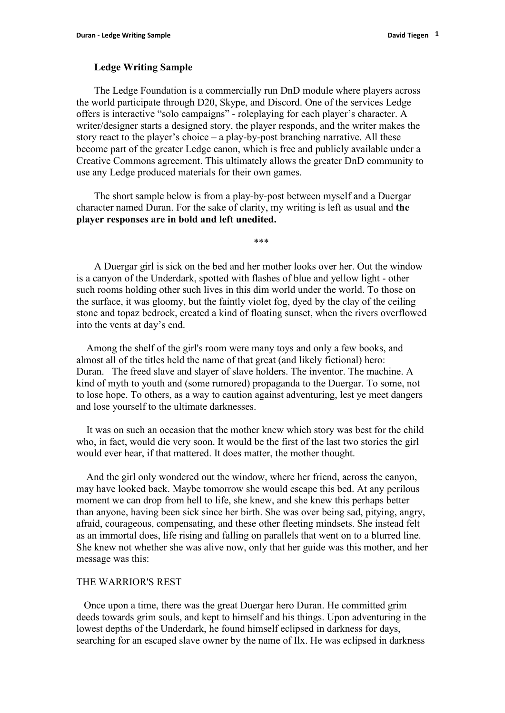## **Ledge Writing Sample**

The Ledge Foundation is a commercially run DnD module where players across the world participate through D20, Skype, and Discord. One of the services Ledge offers is interactive "solo campaigns" - roleplaying for each player's character. A writer/designer starts a designed story, the player responds, and the writer makes the story react to the player's choice – a play-by-post branching narrative. All these become part of the greater Ledge canon, which is free and publicly available under a Creative Commons agreement. This ultimately allows the greater DnD community to use any Ledge produced materials for their own games.

The short sample below is from a play-by-post between myself and a Duergar character named Duran. For the sake of clarity, my writing is left as usual and **the player responses are in bold and left unedited.**

\*\*\*

A Duergar girl is sick on the bed and hermother looks over her. Out the window is a canyon of the Underdark, spotted with flashes of blue and yellow light - other such rooms holding other such lives in this dim world under the world. To those on the surface, it was gloomy, but the faintly violet fog, dyed by the clay of the ceiling stone and topaz bedrock, created a kind of floating sunset, when the rivers overflowed into the vents at day's end.

Among the shelf of the girl's room were many toys and only a few books, and almost all of the titles held the name of that great (and likely fictional) hero: Duran. The freed slave and slayer of slave holders. The inventor. The machine. A kind of myth to youth and (some rumored) propaganda to the Duergar. To some, not to lose hope. To others, as a way to caution against adventuring, lest ye meet dangers and lose yourself to the ultimate darknesses.

It was on such an occasion that the mother knew which story was best for the child who, in fact, would die very soon. It would be the first of the last two stories the girl would ever hear, if that mattered. It does matter, the mother thought.

And the girl only wondered out the window, where her friend, across the canyon, may have looked back. Maybe tomorrow she would escape this bed.At any perilous moment we can drop from hell to life, she knew, and she knew this perhaps better than anyone, having been sick since her birth. She was over being sad, pitying, angry, afraid, courageous, compensating, and these other fleeting mindsets. She instead felt as an immortal does, life rising and falling on parallels that went on to a blurred line. She knew not whether she was alive now, only that her guide was this mother, and her message was this:

## THE WARRIOR'S REST

Once upon a time, there was the great Duergar hero Duran. He committed grim deeds towards grim souls, and kept to himself and his things. Upon adventuring in the lowest depths of the Underdark, he found himself eclipsed in darkness for days, searching for an escaped slave owner by the name of Ilx. He was eclipsed in darkness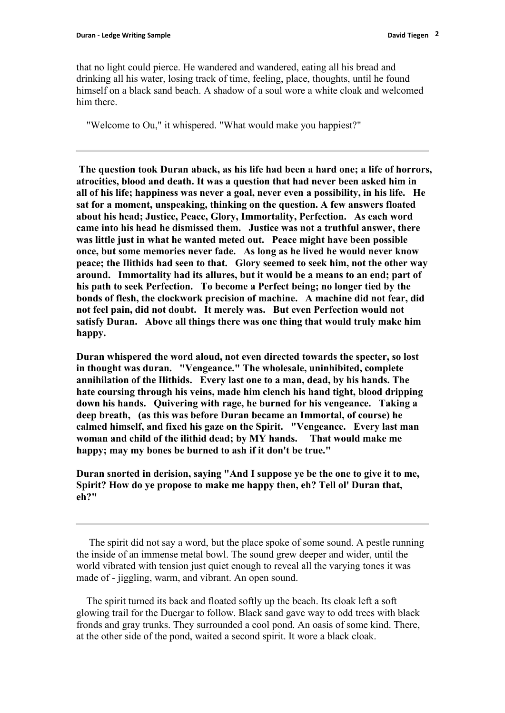that no light could pierce. He wandered and wandered, eating all his bread and drinking all his water, losing track of time, feeling, place, thoughts, until he found himself on a black sand beach. A shadow of a soul wore a white cloak and welcomed him there.

"Welcome to Ou," it whispered. "What would make you happiest?"

**The question took Duran aback, as his life had been a hard one; a life of horrors, atrocities, blood and death. It was a question that had never been asked him in all of his life; happiness was never a goal, never even a possibility, in his life. He sat for a moment, unspeaking, thinking on the question. A few answers floated about his head; Justice, Peace, Glory, Immortality, Perfection. As each word came into his head he dismissed them. Justice was not a truthful answer, there was little just in what he wanted meted out. Peace might have been possible once, but some memories never fade. As long as he lived he would never know peace; the Ilithids had seen to that. Glory seemed to seek him, not the other way around. Immortality had its allures, but it would be a means to an end; partof his path toseek Perfection. To become a Perfect being; no longer tied by the bonds of flesh, the clockwork precision of machine. A machine did not fear, did not feel pain, did not doubt. It merely was. But even Perfection would not satisfy Duran. Above all things there was one thing that would truly make him happy.**

**Duran whispered the word aloud, not even directed towards the specter, so lost in thought was duran. "Vengeance." The wholesale, uninhibited, complete annihilation of the Ilithids. Every last one to a man, dead, by his hands. The hate coursing through his veins,made him clench his hand tight, blood dripping down his hands. Quivering with rage, he burned for his vengeance. Taking a deep breath, (as this was before Duran became an Immortal, of course) he calmed himself, and fixed his gaze on the Spirit. "Vengeance. Every last man woman and child of the ilithid dead; by MY hands. That would make me happy; may my bones be burned to ash if it don't be true."**

**Duran snorted in derision, saying "And I suppose ye be the one to give it to me, Spirit? How do ye propose to make me happy then, eh? Tell ol' Duran that, eh?"**

The spirit did not say a word, but the place spoke of some sound. A pestle running the inside of an immense metal bowl. The sound grew deeper and wider, until the world vibrated with tension just quiet enough to reveal all the varying tones it was made of - jiggling, warm, and vibrant. An open sound.

The spirit turned its back and floated softly up the beach. Its cloak left a soft glowing trail for the Duergar to follow. Black sand gave way to odd trees with black fronds and gray trunks. They surrounded a cool pond. An oasis of some kind. There, at the other side of the pond, waited a second spirit. It wore a black cloak.